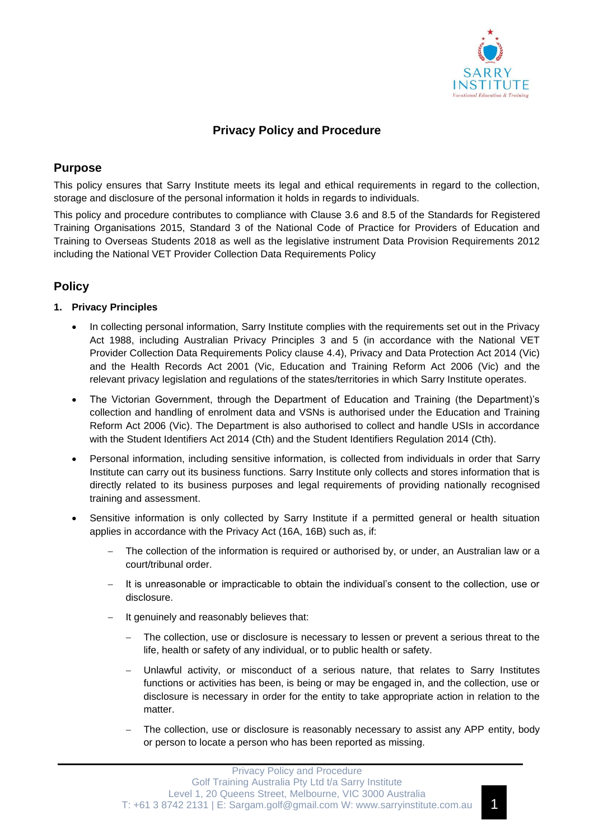

# **Privacy Policy and Procedure**

# **Purpose**

This policy ensures that Sarry Institute meets its legal and ethical requirements in regard to the collection, storage and disclosure of the personal information it holds in regards to individuals.

This policy and procedure contributes to compliance with Clause 3.6 and 8.5 of the Standards for Registered Training Organisations 2015, Standard 3 of the National Code of Practice for Providers of Education and Training to Overseas Students 2018 as well as the legislative instrument Data Provision Requirements 2012 including the National VET Provider Collection Data Requirements Policy

# **Policy**

## **1. Privacy Principles**

- In collecting personal information, Sarry Institute complies with the requirements set out in the Privacy Act 1988, including Australian Privacy Principles 3 and 5 (in accordance with the National VET Provider Collection Data Requirements Policy clause 4.4), Privacy and Data Protection Act 2014 (Vic) and the Health Records Act 2001 (Vic, Education and Training Reform Act 2006 (Vic) and the relevant privacy legislation and regulations of the states/territories in which Sarry Institute operates.
- The Victorian Government, through the Department of Education and Training (the Department)'s collection and handling of enrolment data and VSNs is authorised under the Education and Training Reform Act 2006 (Vic). The Department is also authorised to collect and handle USIs in accordance with the Student Identifiers Act 2014 (Cth) and the Student Identifiers Regulation 2014 (Cth).
- Personal information, including sensitive information, is collected from individuals in order that Sarry Institute can carry out its business functions. Sarry Institute only collects and stores information that is directly related to its business purposes and legal requirements of providing nationally recognised training and assessment.
- Sensitive information is only collected by Sarry Institute if a permitted general or health situation applies in accordance with the Privacy Act (16A, 16B) such as, if:
	- The collection of the information is required or authorised by, or under, an Australian law or a court/tribunal order.
	- It is unreasonable or impracticable to obtain the individual's consent to the collection, use or disclosure.
	- It genuinely and reasonably believes that:
		- The collection, use or disclosure is necessary to lessen or prevent a serious threat to the life, health or safety of any individual, or to public health or safety.
		- Unlawful activity, or misconduct of a serious nature, that relates to Sarry Institutes functions or activities has been, is being or may be engaged in, and the collection, use or disclosure is necessary in order for the entity to take appropriate action in relation to the matter.
		- The collection, use or disclosure is reasonably necessary to assist any APP entity, body or person to locate a person who has been reported as missing.

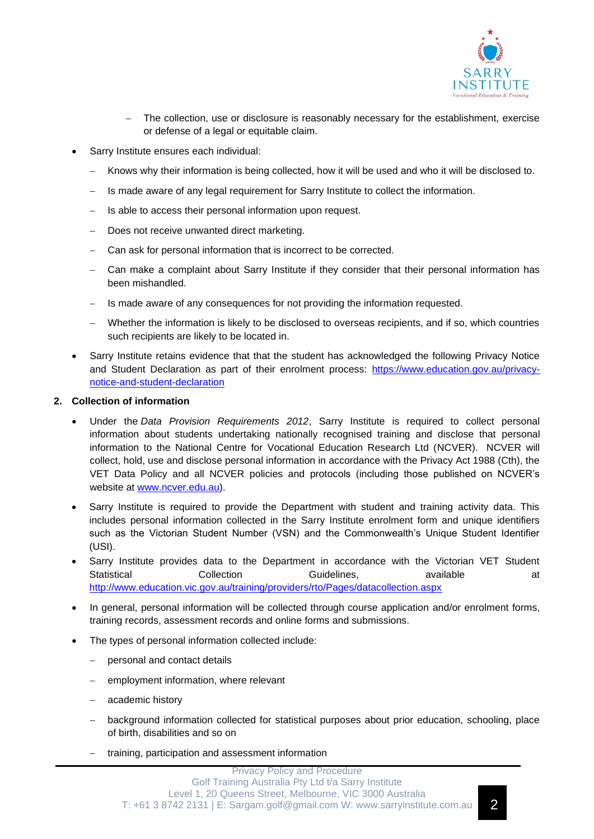

- The collection, use or disclosure is reasonably necessary for the establishment, exercise or defense of a legal or equitable claim.
- Sarry Institute ensures each individual:
	- − Knows why their information is being collected, how it will be used and who it will be disclosed to.
	- Is made aware of any legal requirement for Sarry Institute to collect the information.
	- Is able to access their personal information upon request.
	- − Does not receive unwanted direct marketing.
	- Can ask for personal information that is incorrect to be corrected.
	- Can make a complaint about Sarry Institute if they consider that their personal information has been mishandled.
	- − Is made aware of any consequences for not providing the information requested.
	- Whether the information is likely to be disclosed to overseas recipients, and if so, which countries such recipients are likely to be located in.
- Sarry Institute retains evidence that that the student has acknowledged the following Privacy Notice and Student Declaration as part of their enrolment process: [https://www.education.gov.au/privacy](https://www.education.gov.au/privacy-notice-and-student-declaration)[notice-and-student-declaration](https://www.education.gov.au/privacy-notice-and-student-declaration)

## **2. Collection of information**

- Under the *Data Provision Requirements 2012*, Sarry Institute is required to collect personal information about students undertaking nationally recognised training and disclose that personal information to the National Centre for Vocational Education Research Ltd (NCVER).NCVER will collect, hold, use and disclose personal information in accordance with the Privacy Act 1988 (Cth), the VET Data Policy and all NCVER policies and protocols (including those published on NCVER's website at [www.ncver.edu.au\)](http://www.ncver.edu.au/).
- Sarry Institute is required to provide the Department with student and training activity data. This includes personal information collected in the Sarry Institute enrolment form and unique identifiers such as the Victorian Student Number (VSN) and the Commonwealth's Unique Student Identifier (USI).
- Sarry Institute provides data to the Department in accordance with the Victorian VET Student Statistical Collection Guidelines, available at <http://www.education.vic.gov.au/training/providers/rto/Pages/datacollection.aspx>
- In general, personal information will be collected through course application and/or enrolment forms, training records, assessment records and online forms and submissions.
- The types of personal information collected include:
	- personal and contact details
	- employment information, where relevant
	- − academic history
	- background information collected for statistical purposes about prior education, schooling, place of birth, disabilities and so on
	- − training, participation and assessment information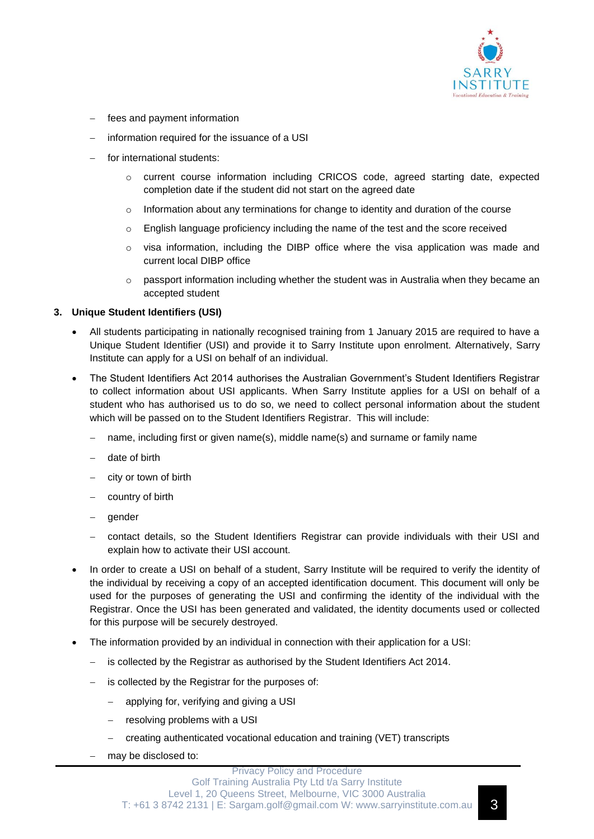

- fees and payment information
- information required for the issuance of a USI
- for international students:
	- o current course information including CRICOS code, agreed starting date, expected completion date if the student did not start on the agreed date
	- $\circ$  Information about any terminations for change to identity and duration of the course
	- o English language proficiency including the name of the test and the score received
	- $\circ$  visa information, including the DIBP office where the visa application was made and current local DIBP office
	- $\circ$  passport information including whether the student was in Australia when they became an accepted student

#### **3. Unique Student Identifiers (USI)**

- All students participating in nationally recognised training from 1 January 2015 are required to have a Unique Student Identifier (USI) and provide it to Sarry Institute upon enrolment. Alternatively, Sarry Institute can apply for a USI on behalf of an individual.
- The Student Identifiers Act 2014 authorises the Australian Government's Student Identifiers Registrar to collect information about USI applicants. When Sarry Institute applies for a USI on behalf of a student who has authorised us to do so, we need to collect personal information about the student which will be passed on to the Student Identifiers Registrar. This will include:
	- name, including first or given name(s), middle name(s) and surname or family name
	- − date of birth
	- − city or town of birth
	- country of birth
	- − gender
	- − contact details, so the Student Identifiers Registrar can provide individuals with their USI and explain how to activate their USI account.
- In order to create a USI on behalf of a student, Sarry Institute will be required to verify the identity of the individual by receiving a copy of an accepted identification document. This document will only be used for the purposes of generating the USI and confirming the identity of the individual with the Registrar. Once the USI has been generated and validated, the identity documents used or collected for this purpose will be securely destroyed.
- The information provided by an individual in connection with their application for a USI:
	- − is collected by the Registrar as authorised by the Student Identifiers Act 2014.
	- is collected by the Registrar for the purposes of:
		- applying for, verifying and giving a USI
		- resolving problems with a USI
		- − creating authenticated vocational education and training (VET) transcripts
	- − may be disclosed to: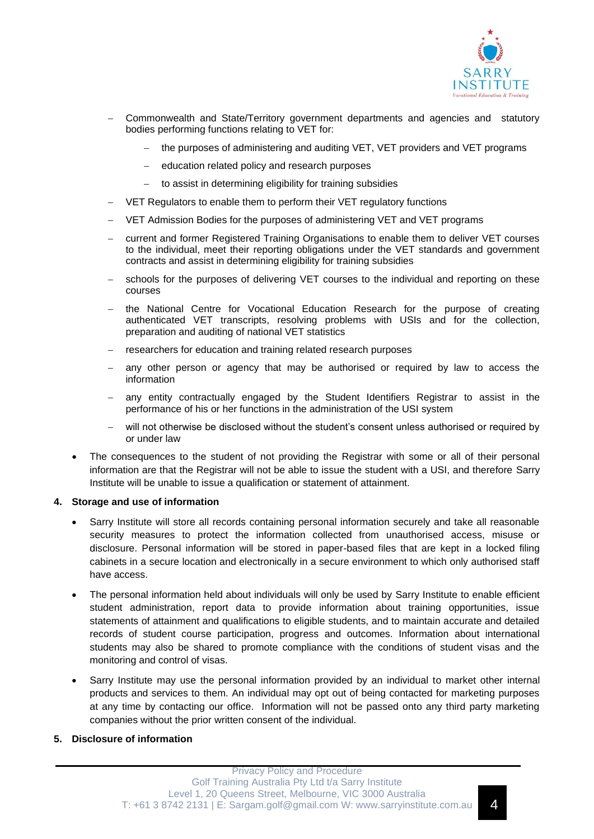

- − Commonwealth and State/Territory government departments and agencies and statutory bodies performing functions relating to VET for:
	- the purposes of administering and auditing VET, VET providers and VET programs
	- education related policy and research purposes
	- to assist in determining eligibility for training subsidies
- VET Regulators to enable them to perform their VET regulatory functions
- − VET Admission Bodies for the purposes of administering VET and VET programs
- − current and former Registered Training Organisations to enable them to deliver VET courses to the individual, meet their reporting obligations under the VET standards and government contracts and assist in determining eligibility for training subsidies
- schools for the purposes of delivering VET courses to the individual and reporting on these courses
- − the National Centre for Vocational Education Research for the purpose of creating authenticated VET transcripts, resolving problems with USIs and for the collection, preparation and auditing of national VET statistics
- researchers for education and training related research purposes
- any other person or agency that may be authorised or required by law to access the information
- any entity contractually engaged by the Student Identifiers Registrar to assist in the performance of his or her functions in the administration of the USI system
- will not otherwise be disclosed without the student's consent unless authorised or required by or under law
- The consequences to the student of not providing the Registrar with some or all of their personal information are that the Registrar will not be able to issue the student with a USI, and therefore Sarry Institute will be unable to issue a qualification or statement of attainment.

#### **4. Storage and use of information**

- Sarry Institute will store all records containing personal information securely and take all reasonable security measures to protect the information collected from unauthorised access, misuse or disclosure. Personal information will be stored in paper-based files that are kept in a locked filing cabinets in a secure location and electronically in a secure environment to which only authorised staff have access.
- The personal information held about individuals will only be used by Sarry Institute to enable efficient student administration, report data to provide information about training opportunities, issue statements of attainment and qualifications to eligible students, and to maintain accurate and detailed records of student course participation, progress and outcomes. Information about international students may also be shared to promote compliance with the conditions of student visas and the monitoring and control of visas.
- Sarry Institute may use the personal information provided by an individual to market other internal products and services to them. An individual may opt out of being contacted for marketing purposes at any time by contacting our office. Information will not be passed onto any third party marketing companies without the prior written consent of the individual.

#### **5. Disclosure of information**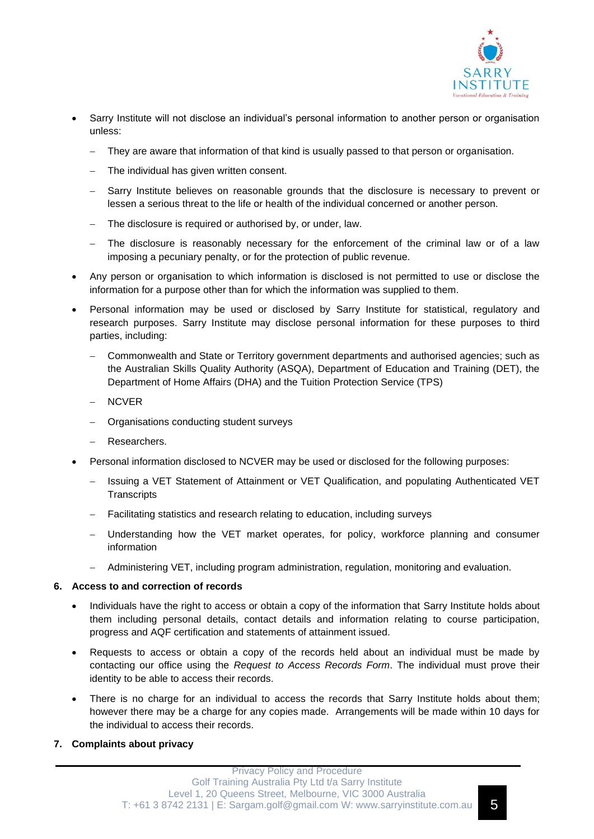

- Sarry Institute will not disclose an individual's personal information to another person or organisation unless:
	- They are aware that information of that kind is usually passed to that person or organisation.
	- The individual has given written consent.
	- Sarry Institute believes on reasonable grounds that the disclosure is necessary to prevent or lessen a serious threat to the life or health of the individual concerned or another person.
	- − The disclosure is required or authorised by, or under, law.
	- The disclosure is reasonably necessary for the enforcement of the criminal law or of a law imposing a pecuniary penalty, or for the protection of public revenue.
- Any person or organisation to which information is disclosed is not permitted to use or disclose the information for a purpose other than for which the information was supplied to them.
- Personal information may be used or disclosed by Sarry Institute for statistical, regulatory and research purposes. Sarry Institute may disclose personal information for these purposes to third parties, including:
	- − Commonwealth and State or Territory government departments and authorised agencies; such as the Australian Skills Quality Authority (ASQA), Department of Education and Training (DET), the Department of Home Affairs (DHA) and the Tuition Protection Service (TPS)
	- − NCVER
	- − Organisations conducting student surveys
	- − Researchers.
- Personal information disclosed to NCVER may be used or disclosed for the following purposes:
	- − Issuing a VET Statement of Attainment or VET Qualification, and populating Authenticated VET **Transcripts**
	- − Facilitating statistics and research relating to education, including surveys
	- Understanding how the VET market operates, for policy, workforce planning and consumer information
	- − Administering VET, including program administration, regulation, monitoring and evaluation.

### **6. Access to and correction of records**

- Individuals have the right to access or obtain a copy of the information that Sarry Institute holds about them including personal details, contact details and information relating to course participation, progress and AQF certification and statements of attainment issued.
- Requests to access or obtain a copy of the records held about an individual must be made by contacting our office using the *Request to Access Records Form*. The individual must prove their identity to be able to access their records.
- There is no charge for an individual to access the records that Sarry Institute holds about them; however there may be a charge for any copies made. Arrangements will be made within 10 days for the individual to access their records.

### **7. Complaints about privacy**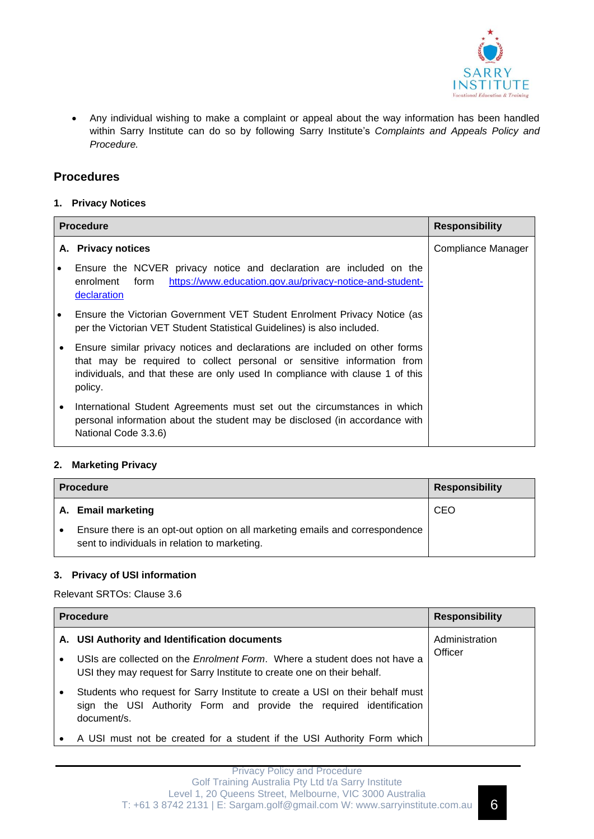

• Any individual wishing to make a complaint or appeal about the way information has been handled within Sarry Institute can do so by following Sarry Institute's *Complaints and Appeals Policy and Procedure.* 

# **Procedures**

### **1. Privacy Notices**

| <b>Procedure</b> |                                                                                                                                                                                                                                                   | <b>Responsibility</b> |
|------------------|---------------------------------------------------------------------------------------------------------------------------------------------------------------------------------------------------------------------------------------------------|-----------------------|
|                  | A. Privacy notices                                                                                                                                                                                                                                | Compliance Manager    |
|                  | Ensure the NCVER privacy notice and declaration are included on the<br>https://www.education.gov.au/privacy-notice-and-student-<br>enrolment<br>form<br>declaration                                                                               |                       |
|                  | Ensure the Victorian Government VET Student Enrolment Privacy Notice (as<br>per the Victorian VET Student Statistical Guidelines) is also included.                                                                                               |                       |
|                  | Ensure similar privacy notices and declarations are included on other forms<br>that may be required to collect personal or sensitive information from<br>individuals, and that these are only used In compliance with clause 1 of this<br>policy. |                       |
| $\bullet$        | International Student Agreements must set out the circumstances in which<br>personal information about the student may be disclosed (in accordance with<br>National Code 3.3.6)                                                                   |                       |

## **2. Marketing Privacy**

| <b>Procedure</b> |                                                                                                                               | <b>Responsibility</b> |
|------------------|-------------------------------------------------------------------------------------------------------------------------------|-----------------------|
|                  | A. Email marketing                                                                                                            | CEO                   |
|                  | Ensure there is an opt-out option on all marketing emails and correspondence<br>sent to individuals in relation to marketing. |                       |

## **3. Privacy of USI information**

## Relevant SRTOs: Clause 3.6

| <b>Procedure</b> |                                                                                                                                                                     | <b>Responsibility</b> |
|------------------|---------------------------------------------------------------------------------------------------------------------------------------------------------------------|-----------------------|
|                  | A. USI Authority and Identification documents                                                                                                                       | Administration        |
| $\bullet$        | USIs are collected on the <i>Enrolment Form</i> . Where a student does not have a<br>USI they may request for Sarry Institute to create one on their behalf.        | Officer               |
|                  | Students who request for Sarry Institute to create a USI on their behalf must<br>sign the USI Authority Form and provide the required identification<br>document/s. |                       |
|                  | A USI must not be created for a student if the USI Authority Form which                                                                                             |                       |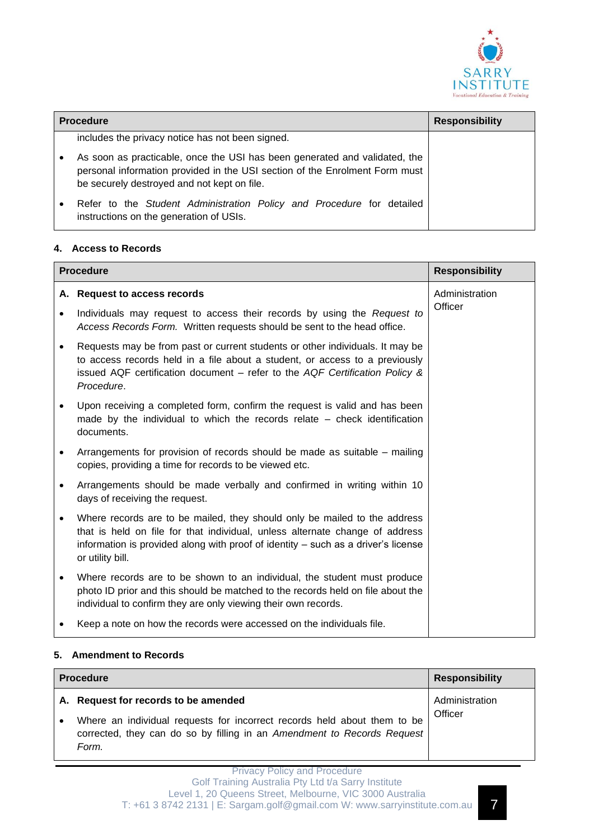

| <b>Procedure</b> |                                                                                                                                                                                                          | <b>Responsibility</b> |
|------------------|----------------------------------------------------------------------------------------------------------------------------------------------------------------------------------------------------------|-----------------------|
|                  | includes the privacy notice has not been signed.                                                                                                                                                         |                       |
|                  | As soon as practicable, once the USI has been generated and validated, the<br>personal information provided in the USI section of the Enrolment Form must<br>be securely destroyed and not kept on file. |                       |
| $\bullet$        | Refer to the Student Administration Policy and Procedure for detailed<br>instructions on the generation of USIs.                                                                                         |                       |

### **4. Access to Records**

| <b>Procedure</b> |                                                                                                                                                                                                                                                                    | <b>Responsibility</b> |
|------------------|--------------------------------------------------------------------------------------------------------------------------------------------------------------------------------------------------------------------------------------------------------------------|-----------------------|
|                  | A. Request to access records                                                                                                                                                                                                                                       | Administration        |
| $\bullet$        | Individuals may request to access their records by using the Request to<br>Access Records Form. Written requests should be sent to the head office.                                                                                                                | Officer               |
| $\bullet$        | Requests may be from past or current students or other individuals. It may be<br>to access records held in a file about a student, or access to a previously<br>issued AQF certification document – refer to the AQF Certification Policy &<br>Procedure.          |                       |
| $\bullet$        | Upon receiving a completed form, confirm the request is valid and has been<br>made by the individual to which the records relate - check identification<br>documents.                                                                                              |                       |
| $\bullet$        | Arrangements for provision of records should be made as suitable – mailing<br>copies, providing a time for records to be viewed etc.                                                                                                                               |                       |
| $\bullet$        | Arrangements should be made verbally and confirmed in writing within 10<br>days of receiving the request.                                                                                                                                                          |                       |
| $\bullet$        | Where records are to be mailed, they should only be mailed to the address<br>that is held on file for that individual, unless alternate change of address<br>information is provided along with proof of identity – such as a driver's license<br>or utility bill. |                       |
| $\bullet$        | Where records are to be shown to an individual, the student must produce<br>photo ID prior and this should be matched to the records held on file about the<br>individual to confirm they are only viewing their own records.                                      |                       |
|                  | Keep a note on how the records were accessed on the individuals file.                                                                                                                                                                                              |                       |

### **5. Amendment to Records**

| <b>Procedure</b> |                                                                                                                                                              | <b>Responsibility</b>     |
|------------------|--------------------------------------------------------------------------------------------------------------------------------------------------------------|---------------------------|
|                  | A. Request for records to be amended                                                                                                                         | Administration<br>Officer |
|                  | Where an individual requests for incorrect records held about them to be<br>corrected, they can do so by filling in an Amendment to Records Request<br>Form. |                           |